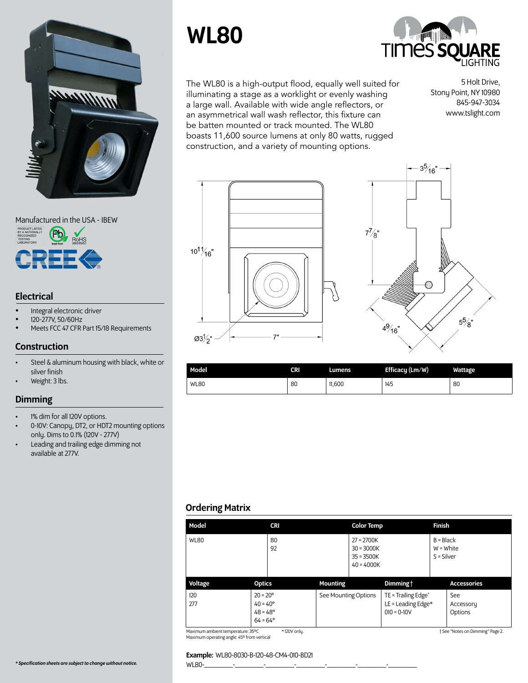

#### Manufactured in the USA - IBEW



## **Electrical**

- Integral electronic driver
- 120-277V, 50/60Hz
- Meets FCC 47 CFR Part 15/18 Requirements

## Construction

- Steel & aluminum housing with black, white or silver finish
- Weight: 3 lbs.

## Dimming

- 1% dim for all 120V options.
- 0-10V: Canopy, DT2, or HDT2 mounting options only. Dims to 0.1% (120V - 277V)
- Leading and trailing edge dimming not available at 277V.

# WL80



The WL80 is a high-output flood, equally well suited for illuminating a stage as a worklight or evenly washing a large wall. Available with wide angle reflectors, or an asymmetrical wall wash reflector, this fixture can be batten mounted or track mounted. The WL80 boasts 11,600 source lumens at only 80 watts, rugged construction, and a variety of mounting options.

5 Holt Drive, Stony Point, NY 10980 845-947-3034 www.tslight.com





| Model       | CRI | Lumens | Efficacy (Lm/W) | <b>Wattage</b> |
|-------------|-----|--------|-----------------|----------------|
| <b>WL80</b> | 80  | 11,600 | 145             | 80             |

## Ordering Matrix

| Model       | <b>CRI</b>                                                                       | <b>Color Temp</b>                                            |                                                               | <b>Finish</b>                              |
|-------------|----------------------------------------------------------------------------------|--------------------------------------------------------------|---------------------------------------------------------------|--------------------------------------------|
| <b>WL80</b> | 80<br>92                                                                         | $27 = 2700K$<br>$30 = 3000K$<br>$35 = 3500K$<br>$40 = 4000K$ |                                                               | $B = Black$<br>$W = White$<br>$S = Silver$ |
| Voltage     | <b>Optics</b>                                                                    | <b>Mounting</b>                                              | Dimming t                                                     | <b>Accessories</b>                         |
| 120<br>277  | $20 = 20^{\circ}$<br>$40 = 40^{\circ}$<br>$48 = 48^{\circ}$<br>$64 = 64^{\circ}$ | See Mounting Options                                         | TE = Trailing Edge*<br>LE = Leading Edge $*$<br>$010 = 0-10V$ | See<br>Accessory<br>Options                |

Maximum ambient temperature: 35ºC Maximum operating angle: 45º from vertical

#### † See "Notes on Dimming" Page 2.

#### Example: WL80-8030-B-120-48-CM4-010-BD21